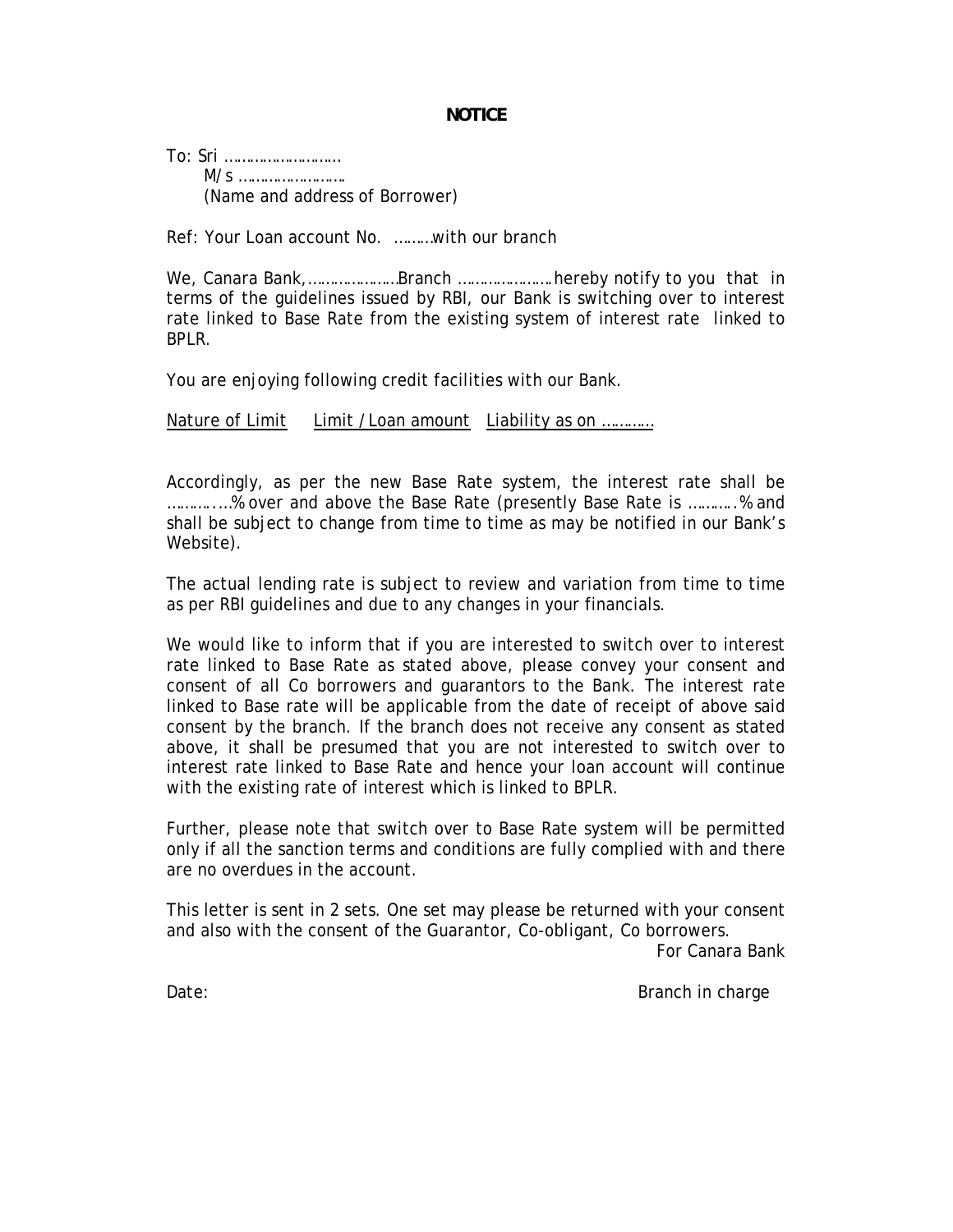## **NOTICE**

To: Sri ……………………… M/s ……………………. (Name and address of Borrower)

Ref: Your Loan account No. ………with our branch

We, Canara Bank,…………………Branch ………………….hereby notify to you that in terms of the guidelines issued by RBI, our Bank is switching over to interest rate linked to Base Rate from the existing system of interest rate linked to BPLR.

You are enjoying following credit facilities with our Bank.

Nature of Limit Limit / Loan amount Liability as on ...........

Accordingly, as per the new Base Rate system, the interest rate shall be ………..…% over and above the Base Rate (presently Base Rate is ………..% and shall be subject to change from time to time as may be notified in our Bank's Website).

The actual lending rate is subject to review and variation from time to time as per RBI guidelines and due to any changes in your financials.

We would like to inform that if you are interested to switch over to interest rate linked to Base Rate as stated above, please convey your consent and consent of all Co borrowers and guarantors to the Bank. The interest rate linked to Base rate will be applicable from the date of receipt of above said consent by the branch. If the branch does not receive any consent as stated above, it shall be presumed that you are not interested to switch over to interest rate linked to Base Rate and hence your loan account will continue with the existing rate of interest which is linked to BPLR.

Further, please note that switch over to Base Rate system will be permitted only if all the sanction terms and conditions are fully complied with and there are no overdues in the account.

This letter is sent in 2 sets. One set may please be returned with your consent and also with the consent of the Guarantor, Co-obligant, Co borrowers.

For Canara Bank

Date: Branch in charge